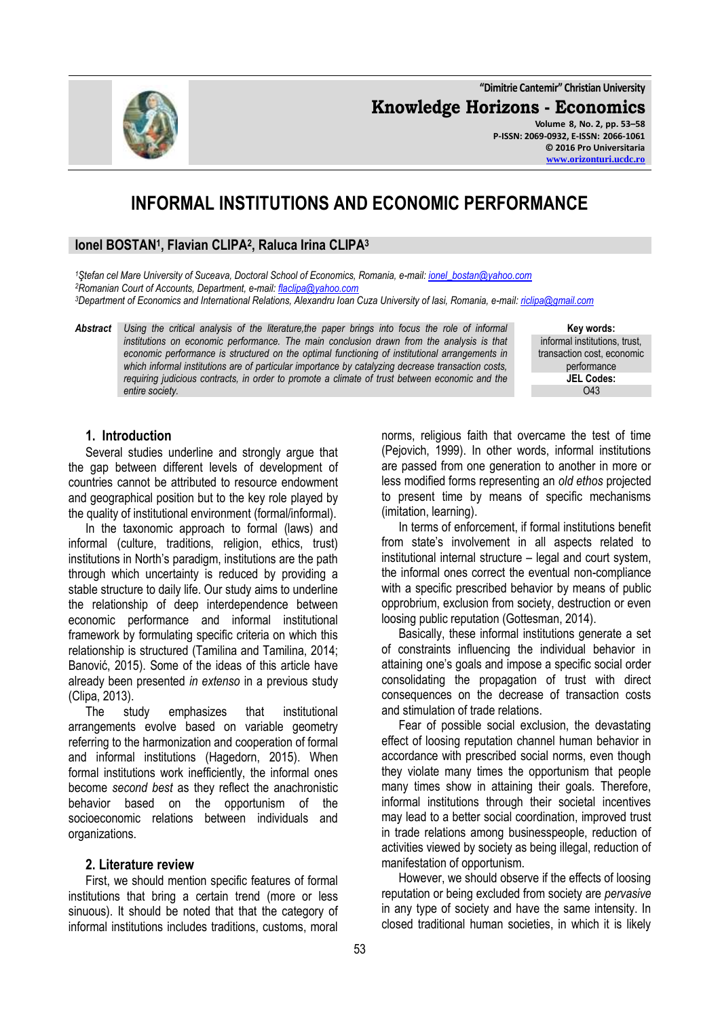**"Dimitrie Cantemir" Christian University Knowledge Horizons - Economics Volume 8, No. 2, pp. 53–58**

# **INFORMAL INSTITUTIONS AND ECONOMIC PERFORMANCE**

# **Ionel BOSTAN<sup>1</sup> , Flavian CLIPA<sup>2</sup> , Raluca Irina CLIPA<sup>3</sup>**

*<sup>1</sup>Ştefan cel Mare University of Suceava, Doctoral School of Economics, Romania, e-mail: [ionel\\_bostan@yahoo.com](mailto:ionel_bostan@yahoo.com) <sup>2</sup>Romanian Court of Accounts, Department, e-mail: [flaclipa@yahoo.com](mailto:flaclipa@yahoo.com) <sup>3</sup>Department of Economics and International Relations, Alexandru Ioan Cuza University of Iasi, Romania, e-mail: [riclipa@gmail.com](mailto:riclipa@gmail.com)*

*Abstract Using the critical analysis of the literature,the paper brings into focus the role of informal institutions on economic performance. The main conclusion drawn from the analysis is that economic performance is structured on the optimal functioning of institutional arrangements in which informal institutions are of particular importance by catalyzing decrease transaction costs, requiring judicious contracts, in order to promote a climate of trust between economic and the entire society.*

**Key words:** informal institutions, trust, transaction cost, economic performance **JEL Codes:** O43

## **1. Introduction**

Several studies underline and strongly argue that the gap between different levels of development of countries cannot be attributed to resource endowment and geographical position but to the key role played by the quality of institutional environment (formal/informal).

In the taxonomic approach to formal (laws) and informal (culture, traditions, religion, ethics, trust) institutions in North's paradigm, institutions are the path through which uncertainty is reduced by providing a stable structure to daily life. Our study aims to underline the relationship of deep interdependence between economic performance and informal institutional framework by formulating specific criteria on which this relationship is structured (Tamilina and Tamilina, 2014; Banović, 2015). Some of the ideas of this article have already been presented *in extenso* in a previous study (Clipa, 2013).

The study emphasizes that institutional arrangements evolve based on variable geometry referring to the harmonization and cooperation of formal and informal institutions (Hagedorn, 2015). When formal institutions work inefficiently, the informal ones become *second best* as they reflect the anachronistic behavior based on the opportunism of the socioeconomic relations between individuals and organizations.

#### **2. Literature review**

First, we should mention specific features of formal institutions that bring a certain trend (more or less sinuous). It should be noted that that the category of informal institutions includes traditions, customs, moral

norms, religious faith that overcame the test of time (Pejovich, 1999). In other words, informal institutions are passed from one generation to another in more or less modified forms representing an *old ethos* projected to present time by means of specific mechanisms (imitation, learning).

In terms of enforcement, if formal institutions benefit from state's involvement in all aspects related to institutional internal structure – legal and court system, the informal ones correct the eventual non-compliance with a specific prescribed behavior by means of public opprobrium, exclusion from society, destruction or even loosing public reputation (Gottesman, 2014).

Basically, these informal institutions generate a set of constraints influencing the individual behavior in attaining one's goals and impose a specific social order consolidating the propagation of trust with direct consequences on the decrease of transaction costs and stimulation of trade relations.

Fear of possible social exclusion, the devastating effect of loosing reputation channel human behavior in accordance with prescribed social norms, even though they violate many times the opportunism that people many times show in attaining their goals. Therefore, informal institutions through their societal incentives may lead to a better social coordination, improved trust in trade relations among businesspeople, reduction of activities viewed by society as being illegal, reduction of manifestation of opportunism.

However, we should observe if the effects of loosing reputation or being excluded from society are *pervasive*  in any type of society and have the same intensity. In closed traditional human societies, in which it is likely

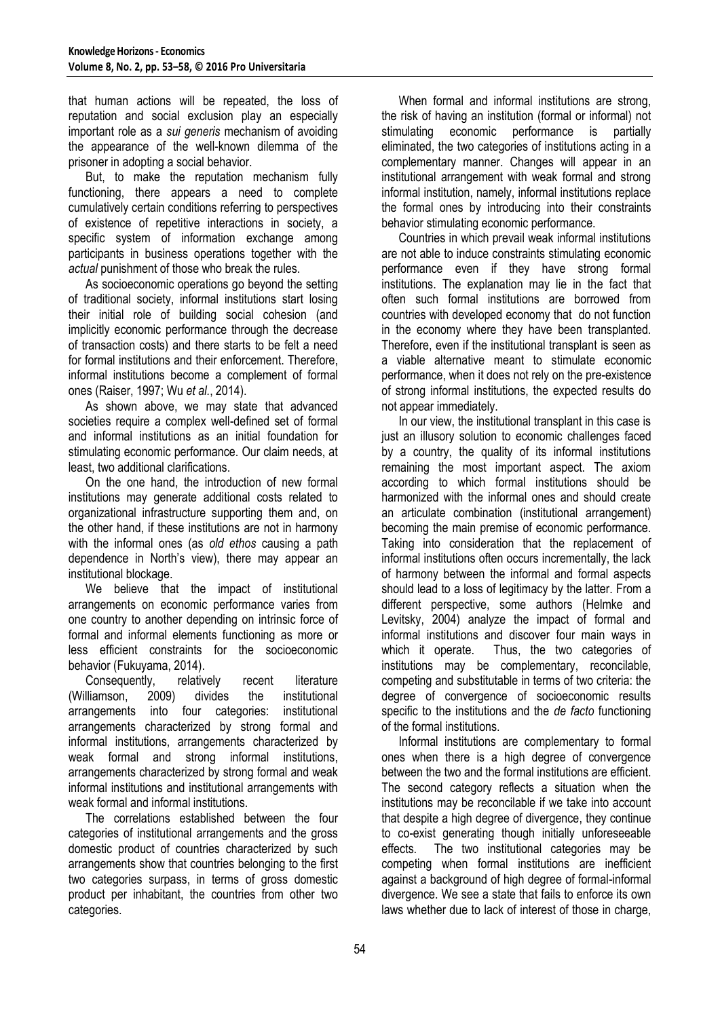that human actions will be repeated, the loss of reputation and social exclusion play an especially important role as a *sui generis* mechanism of avoiding the appearance of the well-known dilemma of the prisoner in adopting a social behavior.

But, to make the reputation mechanism fully functioning, there appears a need to complete cumulatively certain conditions referring to perspectives of existence of repetitive interactions in society, a specific system of information exchange among participants in business operations together with the *actual* punishment of those who break the rules.

As socioeconomic operations go beyond the setting of traditional society, informal institutions start losing their initial role of building social cohesion (and implicitly economic performance through the decrease of transaction costs) and there starts to be felt a need for formal institutions and their enforcement. Therefore, informal institutions become a complement of formal ones (Raiser, 1997; Wu *et al.*, 2014).

As shown above, we may state that advanced societies require a complex well-defined set of formal and informal institutions as an initial foundation for stimulating economic performance. Our claim needs, at least, two additional clarifications.

On the one hand, the introduction of new formal institutions may generate additional costs related to organizational infrastructure supporting them and, on the other hand, if these institutions are not in harmony with the informal ones (as *old ethos* causing a path dependence in North's view), there may appear an institutional blockage.

We believe that the impact of institutional arrangements on economic performance varies from one country to another depending on intrinsic force of formal and informal elements functioning as more or less efficient constraints for the socioeconomic behavior (Fukuyama, 2014).

Consequently, relatively recent literature (Williamson, 2009) divides the institutional arrangements into four categories: institutional arrangements characterized by strong formal and informal institutions, arrangements characterized by weak formal and strong informal institutions, arrangements characterized by strong formal and weak informal institutions and institutional arrangements with weak formal and informal institutions.

The correlations established between the four categories of institutional arrangements and the gross domestic product of countries characterized by such arrangements show that countries belonging to the first two categories surpass, in terms of gross domestic product per inhabitant, the countries from other two categories.

When formal and informal institutions are strong. the risk of having an institution (formal or informal) not stimulating economic performance is partially eliminated, the two categories of institutions acting in a complementary manner. Changes will appear in an institutional arrangement with weak formal and strong informal institution, namely, informal institutions replace the formal ones by introducing into their constraints behavior stimulating economic performance.

Countries in which prevail weak informal institutions are not able to induce constraints stimulating economic performance even if they have strong formal institutions. The explanation may lie in the fact that often such formal institutions are borrowed from countries with developed economy that do not function in the economy where they have been transplanted. Therefore, even if the institutional transplant is seen as a viable alternative meant to stimulate economic performance, when it does not rely on the pre-existence of strong informal institutions, the expected results do not appear immediately.

In our view, the institutional transplant in this case is just an illusory solution to economic challenges faced by a country, the quality of its informal institutions remaining the most important aspect. The axiom according to which formal institutions should be harmonized with the informal ones and should create an articulate combination (institutional arrangement) becoming the main premise of economic performance. Taking into consideration that the replacement of informal institutions often occurs incrementally, the lack of harmony between the informal and formal aspects should lead to a loss of legitimacy by the latter. From a different perspective, some authors (Helmke and Levitsky, 2004) analyze the impact of formal and informal institutions and discover four main ways in which it operate. Thus, the two categories of institutions may be complementary, reconcilable, competing and substitutable in terms of two criteria: the degree of convergence of socioeconomic results specific to the institutions and the *de facto* functioning of the formal institutions.

Informal institutions are complementary to formal ones when there is a high degree of convergence between the two and the formal institutions are efficient. The second category reflects a situation when the institutions may be reconcilable if we take into account that despite a high degree of divergence, they continue to co-exist generating though initially unforeseeable effects. The two institutional categories may be competing when formal institutions are inefficient against a background of high degree of formal-informal divergence. We see a state that fails to enforce its own laws whether due to lack of interest of those in charge,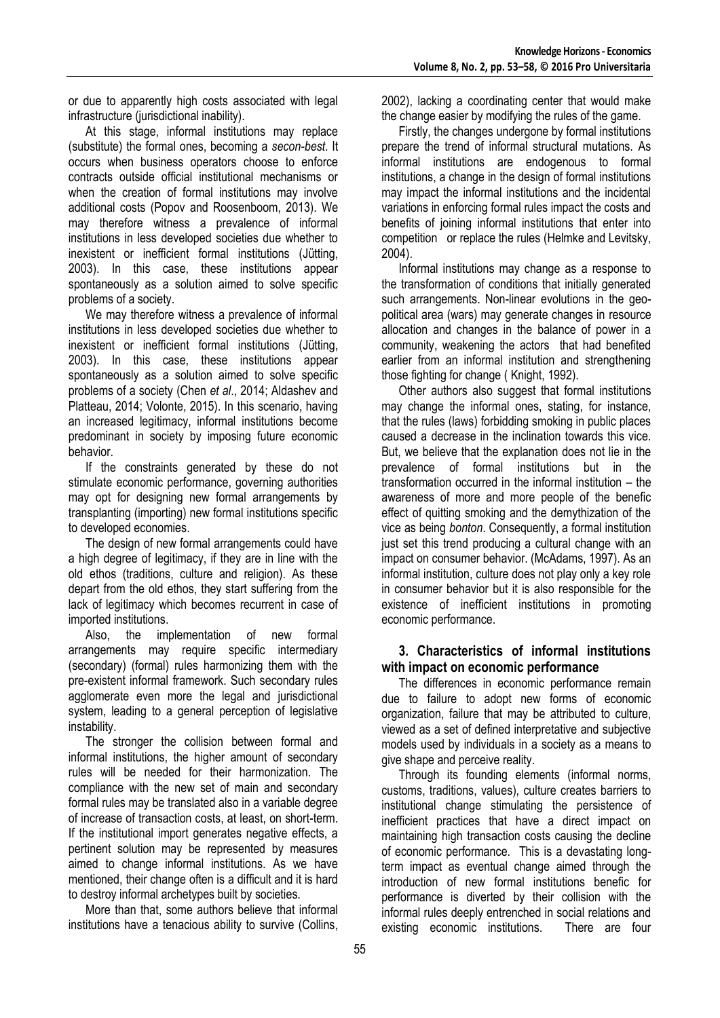or due to apparently high costs associated with legal infrastructure (jurisdictional inability).

At this stage, informal institutions may replace (substitute) the formal ones, becoming a *secon-best*. It occurs when business operators choose to enforce contracts outside official institutional mechanisms or when the creation of formal institutions may involve additional costs (Popov and Roosenboom, 2013). We may therefore witness a prevalence of informal institutions in less developed societies due whether to inexistent or inefficient formal institutions (Jütting, 2003). In this case, these institutions appear spontaneously as a solution aimed to solve specific problems of a society.

We may therefore witness a prevalence of informal institutions in less developed societies due whether to inexistent or inefficient formal institutions (Jütting, 2003). In this case, these institutions appear spontaneously as a solution aimed to solve specific problems of a society (Chen *et al*., 2014; Aldashev and Platteau, 2014; Volonte, 2015). In this scenario, having an increased legitimacy, informal institutions become predominant in society by imposing future economic behavior.

If the constraints generated by these do not stimulate economic performance, governing authorities may opt for designing new formal arrangements by transplanting (importing) new formal institutions specific to developed economies.

The design of new formal arrangements could have a high degree of legitimacy, if they are in line with the old ethos (traditions, culture and religion). As these depart from the old ethos, they start suffering from the lack of legitimacy which becomes recurrent in case of imported institutions.

Also, the implementation of new formal arrangements may require specific intermediary (secondary) (formal) rules harmonizing them with the pre-existent informal framework. Such secondary rules agglomerate even more the legal and jurisdictional system, leading to a general perception of legislative instability.

The stronger the collision between formal and informal institutions, the higher amount of secondary rules will be needed for their harmonization. The compliance with the new set of main and secondary formal rules may be translated also in a variable degree of increase of transaction costs, at least, on short-term. If the institutional import generates negative effects, a pertinent solution may be represented by measures aimed to change informal institutions. As we have mentioned, their change often is a difficult and it is hard to destroy informal archetypes built by societies.

More than that, some authors believe that informal institutions have a tenacious ability to survive (Collins, 2002), lacking a coordinating center that would make the change easier by modifying the rules of the game.

Firstly, the changes undergone by formal institutions prepare the trend of informal structural mutations. As informal institutions are endogenous to formal institutions, a change in the design of formal institutions may impact the informal institutions and the incidental variations in enforcing formal rules impact the costs and benefits of joining informal institutions that enter into competition or replace the rules (Helmke and Levitsky, 2004).

Informal institutions may change as a response to the transformation of conditions that initially generated such arrangements. Non-linear evolutions in the geopolitical area (wars) may generate changes in resource allocation and changes in the balance of power in a community, weakening the actors that had benefited earlier from an informal institution and strengthening those fighting for change ( Knight, 1992).

Other authors also suggest that formal institutions may change the informal ones, stating, for instance, that the rules (laws) forbidding smoking in public places caused a decrease in the inclination towards this vice. But, we believe that the explanation does not lie in the prevalence of formal institutions but in the transformation occurred in the informal institution – the awareness of more and more people of the benefic effect of quitting smoking and the demythization of the vice as being *bonton*. Consequently, a formal institution just set this trend producing a cultural change with an impact on consumer behavior. (McAdams, 1997). As an informal institution, culture does not play only a key role in consumer behavior but it is also responsible for the existence of inefficient institutions in promoting economic performance.

## **3. Characteristics of informal institutions with impact on economic performance**

The differences in economic performance remain due to failure to adopt new forms of economic organization, failure that may be attributed to culture, viewed as a set of defined interpretative and subjective models used by individuals in a society as a means to give shape and perceive reality.

Through its founding elements (informal norms, customs, traditions, values), culture creates barriers to institutional change stimulating the persistence of inefficient practices that have a direct impact on maintaining high transaction costs causing the decline of economic performance. This is a devastating longterm impact as eventual change aimed through the introduction of new formal institutions benefic for performance is diverted by their collision with the informal rules deeply entrenched in social relations and existing economic institutions. There are four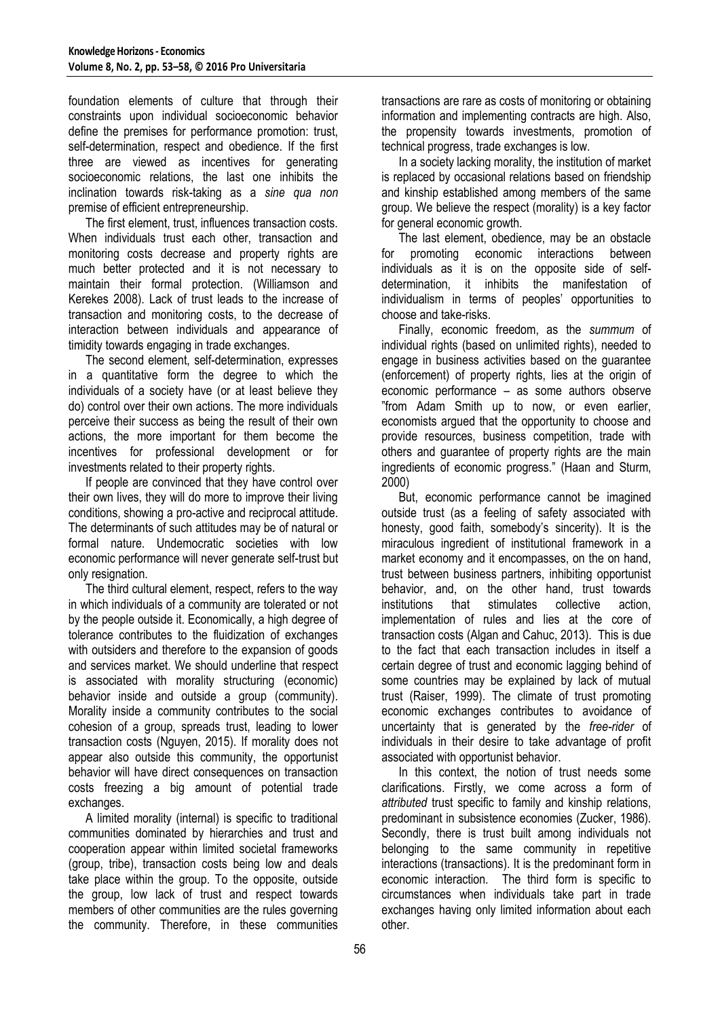foundation elements of culture that through their constraints upon individual socioeconomic behavior define the premises for performance promotion: trust, self-determination, respect and obedience. If the first three are viewed as incentives for generating socioeconomic relations, the last one inhibits the inclination towards risk-taking as a *sine qua non* premise of efficient entrepreneurship.

The first element, trust, influences transaction costs. When individuals trust each other, transaction and monitoring costs decrease and property rights are much better protected and it is not necessary to maintain their formal protection. (Williamson and Kerekes 2008). Lack of trust leads to the increase of transaction and monitoring costs, to the decrease of interaction between individuals and appearance of timidity towards engaging in trade exchanges.

The second element, self-determination, expresses in a quantitative form the degree to which the individuals of a society have (or at least believe they do) control over their own actions. The more individuals perceive their success as being the result of their own actions, the more important for them become the incentives for professional development or for investments related to their property rights.

If people are convinced that they have control over their own lives, they will do more to improve their living conditions, showing a pro-active and reciprocal attitude. The determinants of such attitudes may be of natural or formal nature. Undemocratic societies with low economic performance will never generate self-trust but only resignation.

The third cultural element, respect, refers to the way in which individuals of a community are tolerated or not by the people outside it. Economically, a high degree of tolerance contributes to the fluidization of exchanges with outsiders and therefore to the expansion of goods and services market. We should underline that respect is associated with morality structuring (economic) behavior inside and outside a group (community). Morality inside a community contributes to the social cohesion of a group, spreads trust, leading to lower transaction costs (Nguyen, 2015). If morality does not appear also outside this community, the opportunist behavior will have direct consequences on transaction costs freezing a big amount of potential trade exchanges.

A limited morality (internal) is specific to traditional communities dominated by hierarchies and trust and cooperation appear within limited societal frameworks (group, tribe), transaction costs being low and deals take place within the group. To the opposite, outside the group, low lack of trust and respect towards members of other communities are the rules governing the community. Therefore, in these communities transactions are rare as costs of monitoring or obtaining information and implementing contracts are high. Also, the propensity towards investments, promotion of technical progress, trade exchanges is low.

In a society lacking morality, the institution of market is replaced by occasional relations based on friendship and kinship established among members of the same group. We believe the respect (morality) is a key factor for general economic growth.

The last element, obedience, may be an obstacle for promoting economic interactions between individuals as it is on the opposite side of selfdetermination, it inhibits the manifestation of individualism in terms of peoples' opportunities to choose and take-risks.

Finally, economic freedom, as the *summum* of individual rights (based on unlimited rights), needed to engage in business activities based on the guarantee (enforcement) of property rights, lies at the origin of economic performance – as some authors observe "from Adam Smith up to now, or even earlier, economists argued that the opportunity to choose and provide resources, business competition, trade with others and guarantee of property rights are the main ingredients of economic progress." (Haan and Sturm, 2000)

But, economic performance cannot be imagined outside trust (as a feeling of safety associated with honesty, good faith, somebody's sincerity). It is the miraculous ingredient of institutional framework in a market economy and it encompasses, on the on hand, trust between business partners, inhibiting opportunist behavior, and, on the other hand, trust towards institutions that stimulates collective action, implementation of rules and lies at the core of transaction costs (Algan and Cahuc, 2013). This is due to the fact that each transaction includes in itself a certain degree of trust and economic lagging behind of some countries may be explained by lack of mutual trust (Raiser, 1999). The climate of trust promoting economic exchanges contributes to avoidance of uncertainty that is generated by the *free-rider* of individuals in their desire to take advantage of profit associated with opportunist behavior.

In this context, the notion of trust needs some clarifications. Firstly, we come across a form of *attributed* trust specific to family and kinship relations, predominant in subsistence economies (Zucker, 1986). Secondly, there is trust built among individuals not belonging to the same community in repetitive interactions (transactions). It is the predominant form in economic interaction. The third form is specific to circumstances when individuals take part in trade exchanges having only limited information about each other.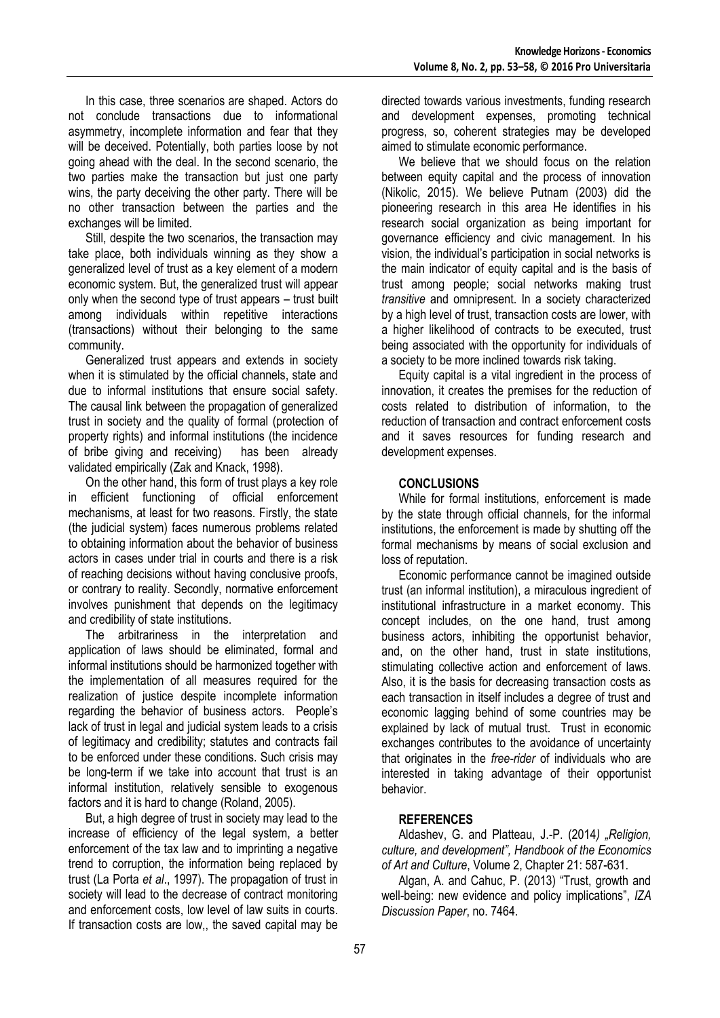In this case, three scenarios are shaped. Actors do not conclude transactions due to informational asymmetry, incomplete information and fear that they will be deceived. Potentially, both parties loose by not going ahead with the deal. In the second scenario, the two parties make the transaction but just one party wins, the party deceiving the other party. There will be no other transaction between the parties and the exchanges will be limited.

Still, despite the two scenarios, the transaction may take place, both individuals winning as they show a generalized level of trust as a key element of a modern economic system. But, the generalized trust will appear only when the second type of trust appears – trust built among individuals within repetitive interactions (transactions) without their belonging to the same community.

Generalized trust appears and extends in society when it is stimulated by the official channels, state and due to informal institutions that ensure social safety. The causal link between the propagation of generalized trust in society and the quality of formal (protection of property rights) and informal institutions (the incidence of bribe giving and receiving) has been already validated empirically (Zak and Knack, 1998).

On the other hand, this form of trust plays a key role in efficient functioning of official enforcement mechanisms, at least for two reasons. Firstly, the state (the judicial system) faces numerous problems related to obtaining information about the behavior of business actors in cases under trial in courts and there is a risk of reaching decisions without having conclusive proofs, or contrary to reality. Secondly, normative enforcement involves punishment that depends on the legitimacy and credibility of state institutions.

The arbitrariness in the interpretation and application of laws should be eliminated, formal and informal institutions should be harmonized together with the implementation of all measures required for the realization of justice despite incomplete information regarding the behavior of business actors. People's lack of trust in legal and judicial system leads to a crisis of legitimacy and credibility; statutes and contracts fail to be enforced under these conditions. Such crisis may be long-term if we take into account that trust is an informal institution, relatively sensible to exogenous factors and it is hard to change (Roland, 2005).

But, a high degree of trust in society may lead to the increase of efficiency of the legal system, a better enforcement of the tax law and to imprinting a negative trend to corruption, the information being replaced by trust (La Porta *et al*., 1997). The propagation of trust in society will lead to the decrease of contract monitoring and enforcement costs, low level of law suits in courts. If transaction costs are low,, the saved capital may be directed towards various investments, funding research and development expenses, promoting technical progress, so, coherent strategies may be developed aimed to stimulate economic performance.

We believe that we should focus on the relation between equity capital and the process of innovation (Nikolic, 2015). We believe Putnam (2003) did the pioneering research in this area He identifies in his research social organization as being important for governance efficiency and civic management. In his vision, the individual's participation in social networks is the main indicator of equity capital and is the basis of trust among people; social networks making trust *transitive* and omnipresent. In a society characterized by a high level of trust, transaction costs are lower, with a higher likelihood of contracts to be executed, trust being associated with the opportunity for individuals of a society to be more inclined towards risk taking.

Equity capital is a vital ingredient in the process of innovation, it creates the premises for the reduction of costs related to distribution of information, to the reduction of transaction and contract enforcement costs and it saves resources for funding research and development expenses.

## **CONCLUSIONS**

While for formal institutions, enforcement is made by the state through official channels, for the informal institutions, the enforcement is made by shutting off the formal mechanisms by means of social exclusion and loss of reputation.

Economic performance cannot be imagined outside trust (an informal institution), a miraculous ingredient of institutional infrastructure in a market economy. This concept includes, on the one hand, trust among business actors, inhibiting the opportunist behavior, and, on the other hand, trust in state institutions, stimulating collective action and enforcement of laws. Also, it is the basis for decreasing transaction costs as each transaction in itself includes a degree of trust and economic lagging behind of some countries may be explained by lack of mutual trust. Trust in economic exchanges contributes to the avoidance of uncertainty that originates in the *free-rider* of individuals who are interested in taking advantage of their opportunist behavior.

## **REFERENCES**

Aldashev, G. and Platteau, J.-P. (2014) "Religion, *culture, and development", Handbook of the Economics of Art and Culture*, Volume 2, Chapter 21: 587-631.

Algan, A. and Cahuc, P. (2013) "Trust, growth and well-being: new evidence and policy implications", *IZA Discussion Paper*, no. 7464.